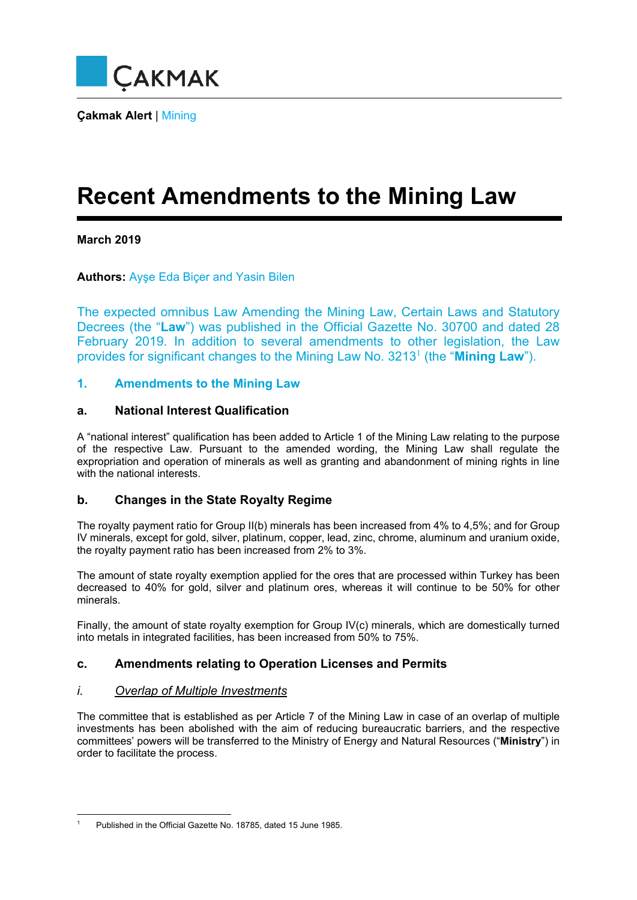

**Çakmak Alert** | Mining

# **Recent Amendments to the Mining Law**

### **March 2019**

**Authors:** Ayşe Eda Biçer and Yasin Bilen

The expected omnibus Law Amending the Mining Law, Certain Laws and Statutory Decrees (the "**Law**") was published in the Official Gazette No. 30700 and dated 28 February 2019. In addition to several amendments to other legislation, the Law provides for significant changes to the Mining Law No. 3213<sup>1</sup> (the "Mining Law").

### **1. Amendments to the Mining Law**

#### **a. National Interest Qualification**

A "national interest" qualification has been added to Article 1 of the Mining Law relating to the purpose of the respective Law. Pursuant to the amended wording, the Mining Law shall regulate the expropriation and operation of minerals as well as granting and abandonment of mining rights in line with the national interests.

#### **b. Changes in the State Royalty Regime**

The royalty payment ratio for Group II(b) minerals has been increased from 4% to 4,5%; and for Group IV minerals, except for gold, silver, platinum, copper, lead, zinc, chrome, aluminum and uranium oxide, the royalty payment ratio has been increased from 2% to 3%.

The amount of state royalty exemption applied for the ores that are processed within Turkey has been decreased to 40% for gold, silver and platinum ores, whereas it will continue to be 50% for other minerals.

Finally, the amount of state royalty exemption for Group IV(c) minerals, which are domestically turned into metals in integrated facilities, has been increased from 50% to 75%.

## **c. Amendments relating to Operation Licenses and Permits**

#### *i. Overlap of Multiple Investments*

The committee that is established as per Article 7 of the Mining Law in case of an overlap of multiple investments has been abolished with the aim of reducing bureaucratic barriers, and the respective committees' powers will be transferred to the Ministry of Energy and Natural Resources ("**Ministry**") in order to facilitate the process.

<sup>1</sup> 1 Published in the Official Gazette No. 18785, dated 15 June 1985.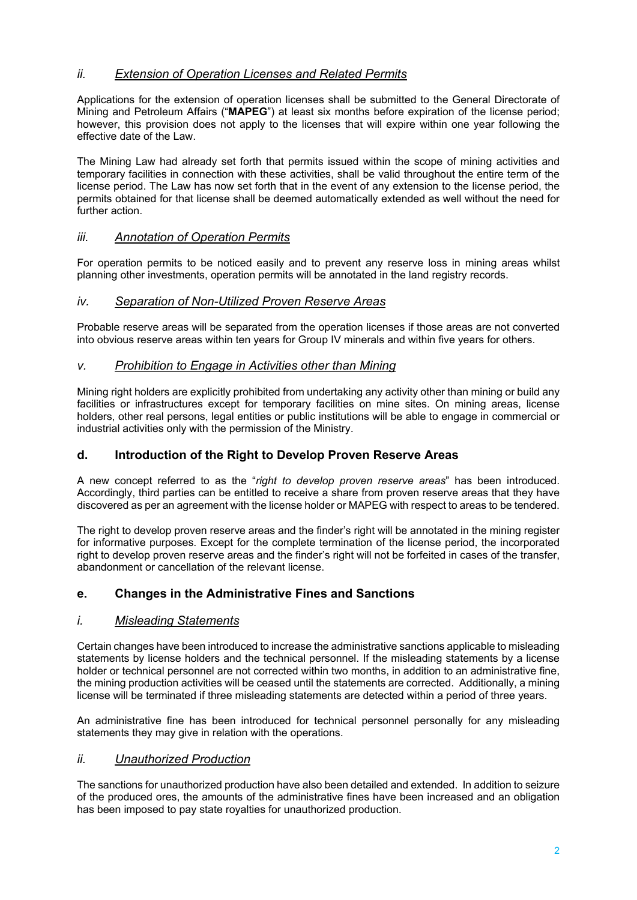## *ii. Extension of Operation Licenses and Related Permits*

Applications for the extension of operation licenses shall be submitted to the General Directorate of Mining and Petroleum Affairs ("**MAPEG**") at least six months before expiration of the license period; however, this provision does not apply to the licenses that will expire within one year following the effective date of the Law.

The Mining Law had already set forth that permits issued within the scope of mining activities and temporary facilities in connection with these activities, shall be valid throughout the entire term of the license period. The Law has now set forth that in the event of any extension to the license period, the permits obtained for that license shall be deemed automatically extended as well without the need for further action.

### *iii. Annotation of Operation Permits*

For operation permits to be noticed easily and to prevent any reserve loss in mining areas whilst planning other investments, operation permits will be annotated in the land registry records.

#### *iv. Separation of Non-Utilized Proven Reserve Areas*

Probable reserve areas will be separated from the operation licenses if those areas are not converted into obvious reserve areas within ten years for Group IV minerals and within five years for others.

#### *v. Prohibition to Engage in Activities other than Mining*

Mining right holders are explicitly prohibited from undertaking any activity other than mining or build any facilities or infrastructures except for temporary facilities on mine sites. On mining areas, license holders, other real persons, legal entities or public institutions will be able to engage in commercial or industrial activities only with the permission of the Ministry.

#### **d. Introduction of the Right to Develop Proven Reserve Areas**

A new concept referred to as the "*right to develop proven reserve areas*" has been introduced. Accordingly, third parties can be entitled to receive a share from proven reserve areas that they have discovered as per an agreement with the license holder or MAPEG with respect to areas to be tendered.

The right to develop proven reserve areas and the finder's right will be annotated in the mining register for informative purposes. Except for the complete termination of the license period, the incorporated right to develop proven reserve areas and the finder's right will not be forfeited in cases of the transfer, abandonment or cancellation of the relevant license.

#### **e. Changes in the Administrative Fines and Sanctions**

#### *i. Misleading Statements*

Certain changes have been introduced to increase the administrative sanctions applicable to misleading statements by license holders and the technical personnel. If the misleading statements by a license holder or technical personnel are not corrected within two months, in addition to an administrative fine, the mining production activities will be ceased until the statements are corrected. Additionally, a mining license will be terminated if three misleading statements are detected within a period of three years.

An administrative fine has been introduced for technical personnel personally for any misleading statements they may give in relation with the operations.

#### *ii. Unauthorized Production*

The sanctions for unauthorized production have also been detailed and extended. In addition to seizure of the produced ores, the amounts of the administrative fines have been increased and an obligation has been imposed to pay state royalties for unauthorized production.